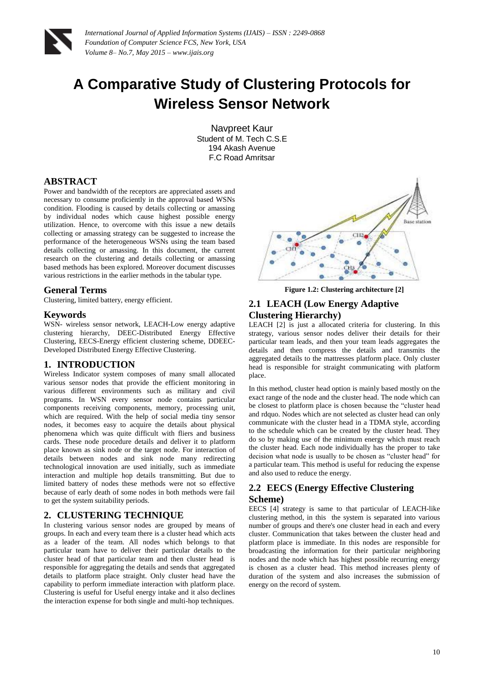

# **A Comparative Study of Clustering Protocols for Wireless Sensor Network**

Navpreet Kaur Student of M. Tech C.S.E 194 Akash Avenue F.C Road Amritsar

### **ABSTRACT**

Power and bandwidth of the receptors are appreciated assets and necessary to consume proficiently in the approval based WSNs condition. Flooding is caused by details collecting or amassing by individual nodes which cause highest possible energy utilization. Hence, to overcome with this issue a new details collecting or amassing strategy can be suggested to increase the performance of the heterogeneous WSNs using the team based details collecting or amassing. In this document, the current research on the clustering and details collecting or amassing based methods has been explored. Moreover document discusses various restrictions in the earlier methods in the tabular type.

## **General Terms**

Clustering, limited battery, energy efficient.

#### **Keywords**

WSN- wireless sensor network, LEACH-Low energy adaptive clustering hierarchy, DEEC-Distributed Energy Effective Clustering, EECS-Energy efficient clustering scheme, DDEEC-Developed Distributed Energy Effective Clustering.

## **1. INTRODUCTION**

Wireless Indicator system composes of many small allocated various sensor nodes that provide the efficient monitoring in various different environments such as military and civil programs. In WSN every sensor node contains particular components receiving components, memory, processing unit, which are required. With the help of social media tiny sensor nodes, it becomes easy to acquire the details about physical phenomena which was quite difficult with fliers and business cards. These node procedure details and deliver it to platform place known as sink node or the target node. For interaction of details between nodes and sink node many redirecting technological innovation are used initially, such as immediate interaction and multiple hop details transmitting. But due to limited battery of nodes these methods were not so effective because of early death of some nodes in both methods were fail to get the system suitability periods.

#### **2. CLUSTERING TECHNIQUE**

In clustering various sensor nodes are grouped by means of groups. In each and every team there is a cluster head which acts as a leader of the team. All nodes which belongs to that particular team have to deliver their particular details to the cluster head of that particular team and then cluster head is responsible for aggregating the details and sends that aggregated details to platform place straight. Only cluster head have the capability to perform immediate interaction with platform place. Clustering is useful for Useful energy intake and it also declines the interaction expense for both single and multi-hop techniques.



**Figure 1.2: Clustering architecture [2]**

# **2.1 LEACH (Low Energy Adaptive Clustering Hierarchy)**

LEACH [2] is just a allocated criteria for clustering. In this strategy, various sensor nodes deliver their details for their particular team leads, and then your team leads aggregates the details and then compress the details and transmits the aggregated details to the mattresses platform place. Only cluster head is responsible for straight communicating with platform place.

In this method, cluster head option is mainly based mostly on the exact range of the node and the cluster head. The node which can be closest to platform place is chosen because the "cluster head and rdquo. Nodes which are not selected as cluster head can only communicate with the cluster head in a TDMA style, according to the schedule which can be created by the cluster head. They do so by making use of the minimum energy which must reach the cluster head. Each node individually has the proper to take decision what node is usually to be chosen as "cluster head" for a particular team. This method is useful for reducing the expense and also used to reduce the energy.

# **2.2 EECS (Energy Effective Clustering Scheme)**

EECS [4] strategy is same to that particular of LEACH-like clustering method, in this the system is separated into various number of groups and there's one cluster head in each and every cluster. Communication that takes between the cluster head and platform place is immediate. In this nodes are responsible for broadcasting the information for their particular neighboring nodes and the node which has highest possible recurring energy is chosen as a cluster head. This method increases plenty of duration of the system and also increases the submission of energy on the record of system.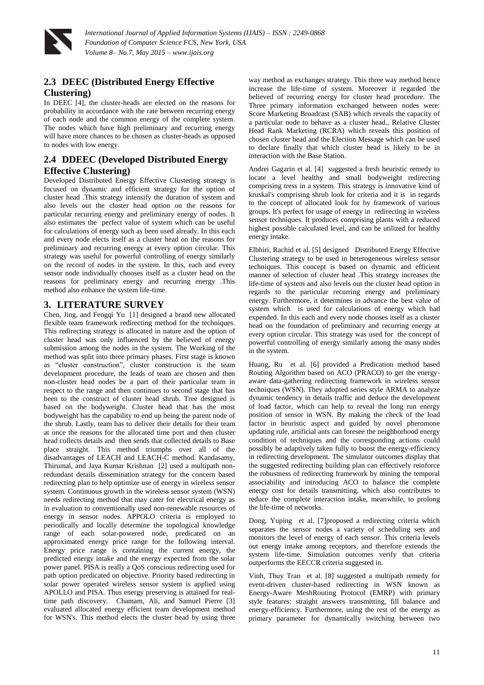

*International Journal of Applied Information Systems (IJAIS) – ISSN : 2249-0868 Foundation of Computer Science FCS, New York, USA Volume 8– No.7, May 2015 – www.ijais.org*

# **2.3 DEEC (Distributed Energy Effective**

### **Clustering)**

In DEEC [4], the cluster-heads are elected on the reasons for probability in accordance with the rate between recurring energy of each node and the common energy of the complete system. The nodes which have high preliminary and recurring energy will have more chances to be chosen as cluster-heads as opposed to nodes with low energy.

# **2.4 DDEEC (Developed Distributed Energy Effective Clustering)**

Developed Distributed Energy Effective Clustering strategy is focused on dynamic and efficient strategy for the option of cluster head .This strategy intensify the duration of system and also levels out the cluster head option on the reasons for particular recurring energy and preliminary energy of nodes. It also estimates the perfect value of system which can be useful for calculations of energy such as been used already. In this each and every node elects itself as a cluster head on the reasons for preliminary and recurring energy at every option circular. This strategy was useful for powerful controlling of energy similarly on the record of nodes in the system. In this, each and every sensor node individually chooses itself as a cluster head on the reasons for preliminary energy and recurring energy .This method also enhance the system life-time.

## **3. LITERATURE SURVEY**

Chen, Jing, and Fengqi Yu [1] designed a brand new allocated flexible team framework redirecting method for the techniques. This redirecting strategy is allocated in nature and the option of cluster head was only influenced by the believed of energy submission among the nodes in the system. The Working of the method was split into three primary phases. First stage is known as "cluster construction", cluster construction is the team development procedure, the leads of team are chosen and then non-cluster head nodes be a part of their particular team in respect to the range and then continues to second stage that has been to the construct of cluster head shrub. Tree designed is based on the bodyweight. Cluster head that has the most bodyweight has the capability to end up being the parent node of the shrub. Lastly, team has to deliver their details for their team at once the reasons for the allocated time port and then cluster head collects details and then sends that collected details to Base place straight. This method triumphs over all of the disadvantages of LEACH and LEACH-C method. Kandasamy, Thirumal, and Jaya Kumar Krishnan [2] used a multipath nonredundant details dissemination strategy for the concern based redirecting plan to help optimize use of energy in wireless sensor system. Continuous growth in the wireless sensor system (WSN) needs redirecting method that may cater for electrical energy as in evaluation to conventionally used non-renewable resources of energy in sensor nodes. APPOLO criteria is employed to periodically and locally determine the topological knowledge range of each solar-powered node, predicated on an approximated energy price range for the following interval. Energy price range is containing the current energy, the predicted energy intake and the energy expected from the solar power panel. PISA is really a QoS conscious redirecting used for path option predicated on objective. Priority based redirecting in solar power operated wireless sensor system is applied using APOLLO and PISA. Thus energy preserving is attained for realtime path discovery. Chamam, Ali, and Samuel Pierre [3] evaluated allocated energy efficient team development method for WSN's. This method elects the cluster head by using three

way method as exchanges strategy. This three way method hence increase the life-time of system. Moreover it regarded the believed of recurring energy for cluster head procedure. The Three primary information exchanged between nodes were: Score Marketing Broadcast (SAB) which reveals the capacity of a particular node to behave as a cluster head., Relative Cluster Head Rank Marketing (RCRA) which reveals this position of chosen cluster head and the Election Message which can be used to declare finally that which cluster head is likely to be in interaction with the Base Station.

Andrei Gagarin et al. [4] suggested a fresh heuristic remedy to locate a level healthy and small bodyweight redirecting comprising tress in a system. This strategy is innovative kind of kruskal's comprising shrub look for criteria and it is in regards to the concept of allocated look for by framework of various groups. It's perfect for usage of energy in redirecting in wireless sensor techniques. It produces comprising plants with a reduced highest possible calculated level, and can be utilized for healthy energy intake.

Elbhiri, Rachid et al. [5] designed Distributed Energy Effective Clustering strategy to be used in heterogeneous wireless sensor techniques. This concept is based on dynamic and efficient manner of selection of cluster head .This strategy increases the life-time of system and also levels out the cluster head option in regards to the particular recurring energy and preliminary energy. Furthermore, it determines in advance the best value of system which is used for calculations of energy which had expended. In this each and every node chooses itself as a cluster head on the foundation of preliminary and recurring energy at every option circular. This strategy was used for the concept of powerful controlling of energy similarly among the many nodes in the system.

Huang, Ru et al. [6] provided a Predication method based Routing Algorithm based on ACO (PRACO) to get the energyaware data-gathering redirecting framework in wireless sensor techniques (WSN). They adopted series style ARMA to analyze dynamic tendency in details traffic and deduce the development of load factor, which can help to reveal the long run energy position of sensor in WSN. By making the check of the load factor in heuristic aspect and guided by novel pheromone updating rule, artificial ants can foresee the neighborhood energy condition of techniques and the corresponding actions could possibly be adaptively taken fully to boost the energy-efficiency in redirecting development. The simulator outcomes display that the suggested redirecting building plan can effectively reinforce the robustness of redirecting framework by mining the temporal associability and introducing ACO to balance the complete energy cost for details transmitting, which also contributes to reduce the complete interaction intake, meanwhile, to prolong the life-time of networks.

Dong, Yuping et al. [7]proposed a redirecting criteria which separates the sensor nodes a variety of scheduling sets and monitors the level of energy of each sensor. This criteria levels out energy intake among receptors, and therefore extends the system life-time. Simulation outcomes verify that criteria outperforms the EECCR criteria suggested in.

Vinh, Thuy Tran et al. [8] suggested a multipath remedy for event-driven cluster-based redirecting in WSN known as Energy-Aware MeshRouting Protocol (EMRP) with primary style features: straight answers transmitting, fill balance and energy-efficiency. Furthermore, using the rest of the energy as primary parameter for dynamically switching between two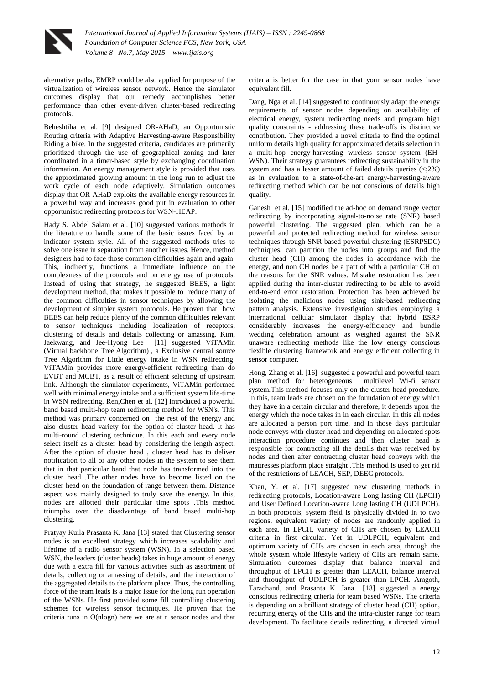

alternative paths, EMRP could be also applied for purpose of the virtualization of wireless sensor network. Hence the simulator outcomes display that our remedy accomplishes better performance than other event-driven cluster-based redirecting protocols.

Beheshtiha et al. [9] designed OR-AHaD, an Opportunistic Routing criteria with Adaptive Harvesting-aware Responsibility Riding a bike. In the suggested criteria, candidates are primarily prioritized through the use of geographical zoning and later coordinated in a timer-based style by exchanging coordination information. An energy management style is provided that uses the approximated growing amount in the long run to adjust the work cycle of each node adaptively. Simulation outcomes display that OR-AHaD exploits the available energy resources in a powerful way and increases good put in evaluation to other opportunistic redirecting protocols for WSN-HEAP.

Hady S. Abdel Salam et al. [10] suggested various methods in the literature to handle some of the basic issues faced by an indicator system style. All of the suggested methods tries to solve one issue in separation from another issues. Hence, method designers had to face those common difficulties again and again. This, indirectly, functions a immediate influence on the complexness of the protocols and on energy use of protocols. Instead of using that strategy, he suggested BEES, a light development method, that makes it possible to reduce many of the common difficulties in sensor techniques by allowing the development of simpler system protocols. He proven that how BEES can help reduce plenty of the common difficulties relevant to sensor techniques including localization of receptors, clustering of details and details collecting or amassing. Kim, Jaekwang, and Jee-Hyong Lee [11] suggested ViTAMin (Virtual backbone Tree Algorithm) , a Exclusive central source Tree Algorithm for Little energy intake in WSN redirecting. ViTAMin provides more energy-efficient redirecting than do EVBT and MCBT, as a result of efficient selecting of upstream link. Although the simulator experiments, ViTAMin performed well with minimal energy intake and a sufficient system life-time in WSN redirecting. Ren,Chen et al. [12] introduced a powerful band based multi-hop team redirecting method for WSN's. This method was primary concerned on the rest of the energy and also cluster head variety for the option of cluster head. It has multi-round clustering technique. In this each and every node select itself as a cluster head by considering the length aspect. After the option of cluster head , cluster head has to deliver notification to all or any other nodes in the system to see them that in that particular band that node has transformed into the cluster head .The other nodes have to become listed on the cluster head on the foundation of range between them. Distance aspect was mainly designed to truly save the energy. In this, nodes are allotted their particular time spots .This method triumphs over the disadvantage of band based multi-hop clustering.

Pratyay Kuila Prasanta K. Jana [13] stated that Clustering sensor nodes is an excellent strategy which increases scalability and lifetime of a radio sensor system (WSN). In a selection based WSN, the leaders (cluster heads) takes in huge amount of energy due with a extra fill for various activities such as assortment of details, collecting or amassing of details, and the interaction of the aggregated details to the platform place. Thus, the controlling force of the team leads is a major issue for the long run operation of the WSNs. He first provided some fill controlling clustering schemes for wireless sensor techniques. He proven that the criteria runs in O(nlogn) here we are at n sensor nodes and that

criteria is better for the case in that your sensor nodes have equivalent fill.

Dang, Nga et al. [14] suggested to continuously adapt the energy requirements of sensor nodes depending on availability of electrical energy, system redirecting needs and program high quality constraints - addressing these trade-offs is distinctive contribution. They provided a novel criteria to find the optimal uniform details high quality for approximated details selection in a multi-hop energy-harvesting wireless sensor system (EH-WSN). Their strategy guarantees redirecting sustainability in the system and has a lesser amount of failed details queries (<;2%) as in evaluation to a state-of-the-art energy-harvesting-aware redirecting method which can be not conscious of details high quality.

Ganesh et al. [15] modified the ad-hoc on demand range vector redirecting by incorporating signal-to-noise rate (SNR) based powerful clustering. The suggested plan, which can be a powerful and protected redirecting method for wireless sensor techniques through SNR-based powerful clustering (ESRPSDC) techniques, can partition the nodes into groups and find the cluster head (CH) among the nodes in accordance with the energy, and non CH nodes be a part of with a particular CH on the reasons for the SNR values. Mistake restoration has been applied during the inter-cluster redirecting to be able to avoid end-to-end error restoration. Protection has been achieved by isolating the malicious nodes using sink-based redirecting pattern analysis. Extensive investigation studies employing a international cellular simulator display that hybrid ESRP considerably increases the energy-efficiency and bundle wedding celebration amount as weighed against the SNR unaware redirecting methods like the low energy conscious flexible clustering framework and energy efficient collecting in sensor computer.

Hong, Zhang et al. [16] suggested a powerful and powerful team plan method for heterogeneous multilevel Wi-fi sensor system.This method focuses only on the cluster head procedure. In this, team leads are chosen on the foundation of energy which they have in a certain circular and therefore, it depends upon the energy which the node takes in in each circular. In this all nodes are allocated a person port time, and in those days particular node conveys with cluster head and depending on allocated spots interaction procedure continues and then cluster head is responsible for contracting all the details that was received by nodes and then after contracting cluster head conveys with the mattresses platform place straight .This method is used to get rid of the restrictions of LEACH, SEP, DEEC protocols.

Khan, Y. et al. [17] suggested new clustering methods in redirecting protocols, Location-aware Long lasting CH (LPCH) and User Defined Location-aware Long lasting CH (UDLPCH). In both protocols, system field is physically divided in to two regions, equivalent variety of nodes are randomly applied in each area. In LPCH, variety of CHs are chosen by LEACH criteria in first circular. Yet in UDLPCH, equivalent and optimum variety of CHs are chosen in each area, through the whole system whole lifestyle variety of CHs are remain same. Simulation outcomes display that balance interval and throughput of LPCH is greater than LEACH, balance interval and throughput of UDLPCH is greater than LPCH. Amgoth, Tarachand, and Prasanta K. Jana [18] suggested a energy conscious redirecting criteria for team based WSNs. The criteria is depending on a brilliant strategy of cluster head (CH) option, recurring energy of the CHs and the intra-cluster range for team development. To facilitate details redirecting, a directed virtual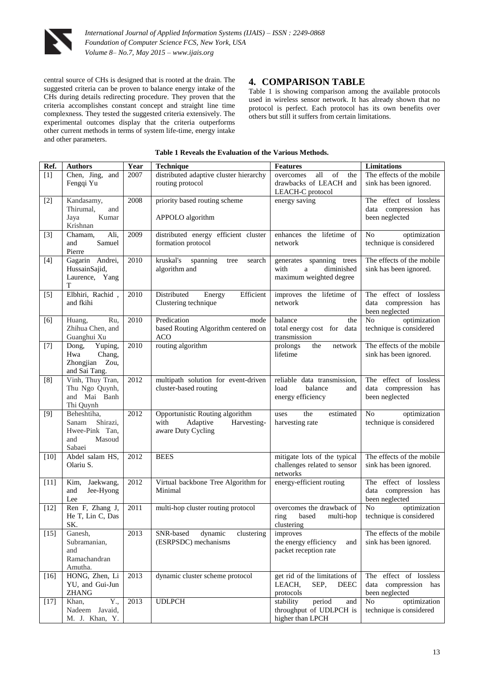

central source of CHs is designed that is rooted at the drain. The suggested criteria can be proven to balance energy intake of the CHs during details redirecting procedure. They proven that the criteria accomplishes constant concept and straight line time complexness. They tested the suggested criteria extensively. The experimental outcomes display that the criteria outperforms other current methods in terms of system life-time, energy intake and other parameters.

# **4. COMPARISON TABLE**

Table 1 is showing comparison among the available protocols used in wireless sensor network. It has already shown that no protocol is perfect. Each protocol has its own benefits over others but still it suffers from certain limitations.

#### **Table 1 Reveals the Evaluation of the Various Methods.**

| Ref.   | <b>Authors</b>                                                                | Year | <b>Technique</b>                                                                         | <b>Features</b>                                                                       | Limitations                                                      |
|--------|-------------------------------------------------------------------------------|------|------------------------------------------------------------------------------------------|---------------------------------------------------------------------------------------|------------------------------------------------------------------|
| $[1]$  | Chen, Jing, and<br>Fengqi Yu                                                  | 2007 | distributed adaptive cluster hierarchy<br>routing protocol                               | all<br>of<br>overcomes<br>the<br>drawbacks of LEACH and<br>LEACH-C protocol           | The effects of the mobile<br>sink has been ignored.              |
| $[2]$  | Kandasamy,<br>Thirumal,<br>and<br>Jaya<br>Kumar<br>Krishnan                   | 2008 | priority based routing scheme<br>APPOLO algorithm                                        | energy saving                                                                         | The effect of lossless<br>data compression has<br>been neglected |
| $[3]$  | Ali,<br>Chamam,<br>Samuel<br>and<br>Pierre                                    | 2009 | distributed energy efficient cluster<br>formation protocol                               | enhances the lifetime of<br>network                                                   | N <sub>o</sub><br>optimization<br>technique is considered        |
| $[4]$  | Gagarin Andrei,<br>HussainSajid,<br>Laurence, Yang<br>T                       | 2010 | kruskal's<br>spanning<br>search<br>tree<br>algorithm and                                 | generates spanning trees<br>with<br>$\rm{a}$<br>diminished<br>maximum weighted degree | The effects of the mobile<br>sink has been ignored.              |
| $[5]$  | Elbhiri, Rachid,<br>and fkihi                                                 | 2010 | Distributed<br>Efficient<br>Energy<br>Clustering technique                               | improves the lifetime of<br>network                                                   | The effect of lossless<br>data compression has<br>been neglected |
| [6]    | Ru,<br>Huang,<br>Zhihua Chen, and<br>Guanghui Xu                              | 2010 | Predication<br>mode<br>based Routing Algorithm centered on<br><b>ACO</b>                 | balance<br>the<br>total energy cost for data<br>transmission                          | N <sub>o</sub><br>optimization<br>technique is considered        |
| $[7]$  | Yuping,<br>Dong,<br>Chang,<br>Hwa<br>Zhongjian Zou,<br>and Sai Tang.          | 2010 | routing algorithm                                                                        | prolongs<br>the<br>network<br>lifetime                                                | The effects of the mobile<br>sink has been ignored.              |
| [8]    | Vinh, Thuy Tran,<br>Thu Ngo Quynh,<br>and Mai Banh<br>Thi Quynh               | 2012 | multipath solution for event-driven<br>cluster-based routing                             | reliable data transmission,<br>load<br>balance<br>and<br>energy efficiency            | The effect of lossless<br>data compression has<br>been neglected |
| [9]    | Beheshtiha,<br>Shirazi,<br>Sanam<br>Hwee-Pink Tan,<br>Masoud<br>and<br>Sabaei | 2012 | Opportunistic Routing algorithm<br>with<br>Adaptive<br>Harvesting-<br>aware Duty Cycling | the<br>estimated<br>uses<br>harvesting rate                                           | No<br>optimization<br>technique is considered                    |
| $[10]$ | Abdel salam HS,<br>Olariu S.                                                  | 2012 | <b>BEES</b>                                                                              | mitigate lots of the typical<br>challenges related to sensor<br>networks              | The effects of the mobile<br>sink has been ignored.              |
| $[11]$ | Kim,<br>Jaekwang,<br>and<br>Jee-Hyong<br>Lee                                  | 2012 | Virtual backbone Tree Algorithm for<br>Minimal                                           | energy-efficient routing                                                              | The effect of lossless<br>data compression has<br>been neglected |
| $[12]$ | Ren F, Zhang J,<br>He T, Lin C, Das<br>SK.                                    | 2011 | multi-hop cluster routing protocol                                                       | overcomes the drawback of<br>based<br>multi-hop<br>ring<br>clustering                 | No<br>optimization<br>technique is considered                    |
| $[15]$ | Ganesh,<br>Subramanian,<br>and<br>Ramachandran<br>Amutha.                     | 2013 | SNR-based<br>dynamic<br>clustering<br>(ESRPSDC) mechanisms                               | improves<br>the energy efficiency<br>and<br>packet reception rate                     | The effects of the mobile<br>sink has been ignored.              |
| $[16]$ | HONG, Zhen, Li<br>YU, and Gui-Jun<br><b>ZHANG</b>                             | 2013 | dynamic cluster scheme protocol                                                          | get rid of the limitations of<br>LEACH,<br>SEP,<br><b>DEEC</b><br>protocols           | The effect of lossless<br>data compression has<br>been neglected |
| $[17]$ | Y.,<br>Khan,<br>Nadeem Javaid,<br>M. J. Khan, Y.                              | 2013 | <b>UDLPCH</b>                                                                            | stability<br>period<br>and<br>throughput of UDLPCH is<br>higher than LPCH             | optimization<br>No<br>technique is considered                    |